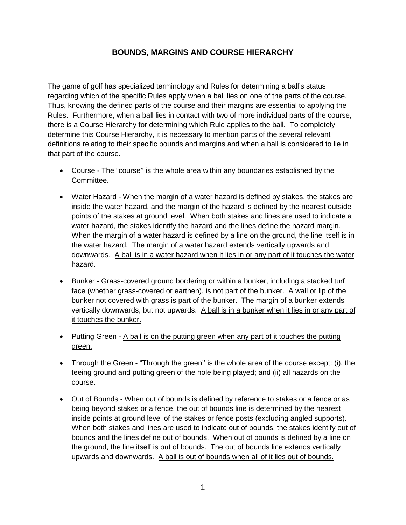## **BOUNDS, MARGINS AND COURSE HIERARCHY**

The game of golf has specialized terminology and Rules for determining a ball's status regarding which of the specific Rules apply when a ball lies on one of the parts of the course. Thus, knowing the defined parts of the course and their margins are essential to applying the Rules. Furthermore, when a ball lies in contact with two of more individual parts of the course, there is a Course Hierarchy for determining which Rule applies to the ball. To completely determine this Course Hierarchy, it is necessary to mention parts of the several relevant definitions relating to their specific bounds and margins and when a ball is considered to lie in that part of the course.

- Course The "course'' is the whole area within any boundaries established by the Committee.
- Water Hazard When the margin of a water hazard is defined by stakes, the stakes are inside the water hazard, and the margin of the hazard is defined by the nearest outside points of the stakes at ground level. When both stakes and lines are used to indicate a water hazard, the stakes identify the hazard and the lines define the hazard margin. When the margin of a water hazard is defined by a line on the ground, the line itself is in the water hazard. The margin of a water hazard extends vertically upwards and downwards. A ball is in a water hazard when it lies in or any part of it touches the water hazard.
- Bunker Grass-covered ground bordering or within a bunker, including a stacked turf face (whether grass-covered or earthen), is not part of the bunker. A wall or lip of the bunker not covered with grass is part of the bunker. The margin of a bunker extends vertically downwards, but not upwards. A ball is in a bunker when it lies in or any part of it touches the bunker.
- Putting Green A ball is on the putting green when any part of it touches the putting green.
- Through the Green "Through the green'' is the whole area of the course except: (i). the teeing ground and putting green of the hole being played; and (ii) all hazards on the course.
- Out of Bounds When out of bounds is defined by reference to stakes or a fence or as being beyond stakes or a fence, the out of bounds line is determined by the nearest inside points at ground level of the stakes or fence posts (excluding angled supports). When both stakes and lines are used to indicate out of bounds, the stakes identify out of bounds and the lines define out of bounds. When out of bounds is defined by a line on the ground, the line itself is out of bounds. The out of bounds line extends vertically upwards and downwards. A ball is out of bounds when all of it lies out of bounds.